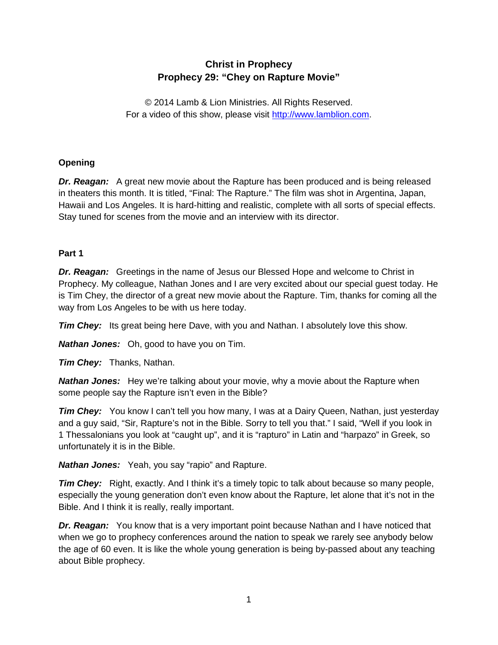# **Christ in Prophecy Prophecy 29: "Chey on Rapture Movie"**

© 2014 Lamb & Lion Ministries. All Rights Reserved. For a video of this show, please visit [http://www.lamblion.com.](http://www.lamblion.com/)

# **Opening**

*Dr. Reagan:* A great new movie about the Rapture has been produced and is being released in theaters this month. It is titled, "Final: The Rapture." The film was shot in Argentina, Japan, Hawaii and Los Angeles. It is hard-hitting and realistic, complete with all sorts of special effects. Stay tuned for scenes from the movie and an interview with its director.

### **Part 1**

*Dr. Reagan:* Greetings in the name of Jesus our Blessed Hope and welcome to Christ in Prophecy. My colleague, Nathan Jones and I are very excited about our special guest today. He is Tim Chey, the director of a great new movie about the Rapture. Tim, thanks for coming all the way from Los Angeles to be with us here today.

*Tim Chey:* Its great being here Dave, with you and Nathan. I absolutely love this show.

*Nathan Jones:* Oh, good to have you on Tim.

*Tim Chey:* Thanks, Nathan.

*Nathan Jones:* Hey we're talking about your movie, why a movie about the Rapture when some people say the Rapture isn't even in the Bible?

**Tim Chey:** You know I can't tell you how many, I was at a Dairy Queen, Nathan, just yesterday and a guy said, "Sir, Rapture's not in the Bible. Sorry to tell you that." I said, "Well if you look in 1 Thessalonians you look at "caught up", and it is "rapturo" in Latin and "harpazo" in Greek, so unfortunately it is in the Bible.

*Nathan Jones:* Yeah, you say "rapio" and Rapture.

**Tim Chey:** Right, exactly. And I think it's a timely topic to talk about because so many people, especially the young generation don't even know about the Rapture, let alone that it's not in the Bible. And I think it is really, really important.

*Dr. Reagan:* You know that is a very important point because Nathan and I have noticed that when we go to prophecy conferences around the nation to speak we rarely see anybody below the age of 60 even. It is like the whole young generation is being by-passed about any teaching about Bible prophecy.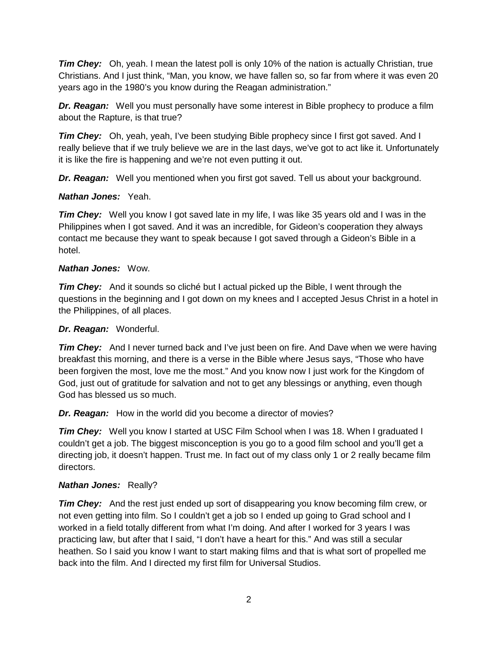*Tim Chey:* Oh, yeah. I mean the latest poll is only 10% of the nation is actually Christian, true Christians. And I just think, "Man, you know, we have fallen so, so far from where it was even 20 years ago in the 1980's you know during the Reagan administration."

*Dr. Reagan:* Well you must personally have some interest in Bible prophecy to produce a film about the Rapture, is that true?

*Tim Chey:* Oh, yeah, yeah, I've been studying Bible prophecy since I first got saved. And I really believe that if we truly believe we are in the last days, we've got to act like it. Unfortunately it is like the fire is happening and we're not even putting it out.

*Dr. Reagan:* Well you mentioned when you first got saved. Tell us about your background.

### *Nathan Jones:* Yeah.

**Tim Chey:** Well you know I got saved late in my life, I was like 35 years old and I was in the Philippines when I got saved. And it was an incredible, for Gideon's cooperation they always contact me because they want to speak because I got saved through a Gideon's Bible in a hotel.

### *Nathan Jones:* Wow.

*Tim Chey:* And it sounds so cliché but I actual picked up the Bible, I went through the questions in the beginning and I got down on my knees and I accepted Jesus Christ in a hotel in the Philippines, of all places.

# *Dr. Reagan:* Wonderful.

*Tim Chey:* And I never turned back and I've just been on fire. And Dave when we were having breakfast this morning, and there is a verse in the Bible where Jesus says, "Those who have been forgiven the most, love me the most." And you know now I just work for the Kingdom of God, just out of gratitude for salvation and not to get any blessings or anything, even though God has blessed us so much.

*Dr. Reagan:* How in the world did you become a director of movies?

*Tim Chey:* Well you know I started at USC Film School when I was 18. When I graduated I couldn't get a job. The biggest misconception is you go to a good film school and you'll get a directing job, it doesn't happen. Trust me. In fact out of my class only 1 or 2 really became film directors.

# *Nathan Jones:* Really?

*Tim Chey:* And the rest just ended up sort of disappearing you know becoming film crew, or not even getting into film. So I couldn't get a job so I ended up going to Grad school and I worked in a field totally different from what I'm doing. And after I worked for 3 years I was practicing law, but after that I said, "I don't have a heart for this." And was still a secular heathen. So I said you know I want to start making films and that is what sort of propelled me back into the film. And I directed my first film for Universal Studios.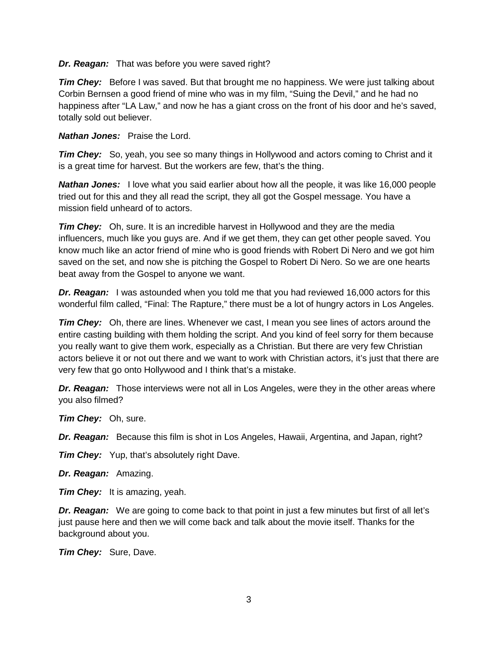*Dr. Reagan:* That was before you were saved right?

*Tim Chey:* Before I was saved. But that brought me no happiness. We were just talking about Corbin Bernsen a good friend of mine who was in my film, "Suing the Devil," and he had no happiness after "LA Law," and now he has a giant cross on the front of his door and he's saved, totally sold out believer.

*Nathan Jones:* Praise the Lord.

*Tim Chey:* So, yeah, you see so many things in Hollywood and actors coming to Christ and it is a great time for harvest. But the workers are few, that's the thing.

*Nathan Jones:* I love what you said earlier about how all the people, it was like 16,000 people tried out for this and they all read the script, they all got the Gospel message. You have a mission field unheard of to actors.

*Tim Chey:* Oh, sure. It is an incredible harvest in Hollywood and they are the media influencers, much like you guys are. And if we get them, they can get other people saved. You know much like an actor friend of mine who is good friends with Robert Di Nero and we got him saved on the set, and now she is pitching the Gospel to Robert Di Nero. So we are one hearts beat away from the Gospel to anyone we want.

*Dr. Reagan:* I was astounded when you told me that you had reviewed 16,000 actors for this wonderful film called, "Final: The Rapture," there must be a lot of hungry actors in Los Angeles.

*Tim Chey:* Oh, there are lines. Whenever we cast, I mean you see lines of actors around the entire casting building with them holding the script. And you kind of feel sorry for them because you really want to give them work, especially as a Christian. But there are very few Christian actors believe it or not out there and we want to work with Christian actors, it's just that there are very few that go onto Hollywood and I think that's a mistake.

*Dr. Reagan:* Those interviews were not all in Los Angeles, were they in the other areas where you also filmed?

*Tim Chey:* Oh, sure.

*Dr. Reagan:* Because this film is shot in Los Angeles, Hawaii, Argentina, and Japan, right?

*Tim Chey:* Yup, that's absolutely right Dave.

*Dr. Reagan:* Amazing.

*Tim Chey:* It is amazing, yeah.

*Dr. Reagan:* We are going to come back to that point in just a few minutes but first of all let's just pause here and then we will come back and talk about the movie itself. Thanks for the background about you.

*Tim Chey:* Sure, Dave.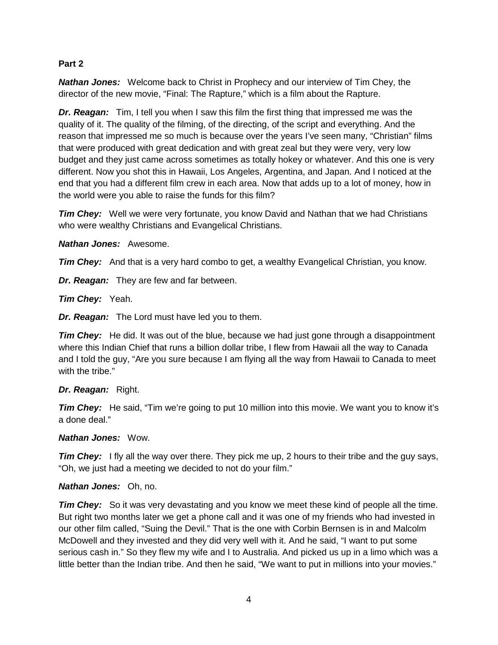#### **Part 2**

*Nathan Jones:* Welcome back to Christ in Prophecy and our interview of Tim Chey, the director of the new movie, "Final: The Rapture," which is a film about the Rapture.

*Dr. Reagan:* Tim, I tell you when I saw this film the first thing that impressed me was the quality of it. The quality of the filming, of the directing, of the script and everything. And the reason that impressed me so much is because over the years I've seen many, "Christian" films that were produced with great dedication and with great zeal but they were very, very low budget and they just came across sometimes as totally hokey or whatever. And this one is very different. Now you shot this in Hawaii, Los Angeles, Argentina, and Japan. And I noticed at the end that you had a different film crew in each area. Now that adds up to a lot of money, how in the world were you able to raise the funds for this film?

*Tim Chey:* Well we were very fortunate, you know David and Nathan that we had Christians who were wealthy Christians and Evangelical Christians.

*Nathan Jones:* Awesome.

*Tim Chey:* And that is a very hard combo to get, a wealthy Evangelical Christian, you know.

*Dr. Reagan:* They are few and far between.

*Tim Chey:* Yeah.

*Dr. Reagan:* The Lord must have led you to them.

**Tim Chey:** He did. It was out of the blue, because we had just gone through a disappointment where this Indian Chief that runs a billion dollar tribe, I flew from Hawaii all the way to Canada and I told the guy, "Are you sure because I am flying all the way from Hawaii to Canada to meet with the tribe."

#### *Dr. Reagan:* Right.

*Tim Chey:* He said, "Tim we're going to put 10 million into this movie. We want you to know it's a done deal."

#### *Nathan Jones:* Wow.

*Tim Chey:* I fly all the way over there. They pick me up, 2 hours to their tribe and the guy says, "Oh, we just had a meeting we decided to not do your film."

#### *Nathan Jones:* Oh, no.

*Tim Chey:* So it was very devastating and you know we meet these kind of people all the time. But right two months later we get a phone call and it was one of my friends who had invested in our other film called, "Suing the Devil." That is the one with Corbin Bernsen is in and Malcolm McDowell and they invested and they did very well with it. And he said, "I want to put some serious cash in." So they flew my wife and I to Australia. And picked us up in a limo which was a little better than the Indian tribe. And then he said, "We want to put in millions into your movies."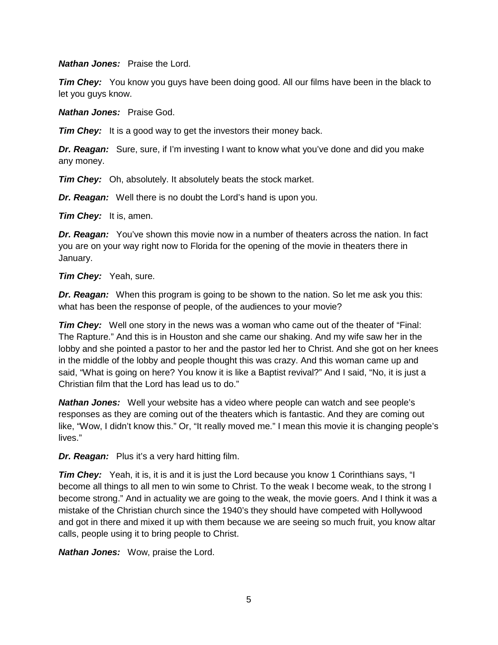*Nathan Jones:* Praise the Lord.

**Tim Chey:** You know you guys have been doing good. All our films have been in the black to let you guys know.

*Nathan Jones:* Praise God.

*Tim Chey:* It is a good way to get the investors their money back.

*Dr. Reagan:* Sure, sure, if I'm investing I want to know what you've done and did you make any money.

*Tim Chey:* Oh, absolutely. It absolutely beats the stock market.

*Dr. Reagan:* Well there is no doubt the Lord's hand is upon you.

*Tim Chey:* It is, amen.

*Dr. Reagan:* You've shown this movie now in a number of theaters across the nation. In fact you are on your way right now to Florida for the opening of the movie in theaters there in January.

*Tim Chey:* Yeah, sure.

*Dr. Reagan:* When this program is going to be shown to the nation. So let me ask you this: what has been the response of people, of the audiences to your movie?

*Tim Chey:* Well one story in the news was a woman who came out of the theater of "Final: The Rapture." And this is in Houston and she came our shaking. And my wife saw her in the lobby and she pointed a pastor to her and the pastor led her to Christ. And she got on her knees in the middle of the lobby and people thought this was crazy. And this woman came up and said, "What is going on here? You know it is like a Baptist revival?" And I said, "No, it is just a Christian film that the Lord has lead us to do."

*Nathan Jones:* Well your website has a video where people can watch and see people's responses as they are coming out of the theaters which is fantastic. And they are coming out like, "Wow, I didn't know this." Or, "It really moved me." I mean this movie it is changing people's lives."

*Dr. Reagan:* Plus it's a very hard hitting film.

**Tim Chey:** Yeah, it is, it is and it is just the Lord because you know 1 Corinthians says, "I become all things to all men to win some to Christ. To the weak I become weak, to the strong I become strong." And in actuality we are going to the weak, the movie goers. And I think it was a mistake of the Christian church since the 1940's they should have competed with Hollywood and got in there and mixed it up with them because we are seeing so much fruit, you know altar calls, people using it to bring people to Christ.

*Nathan Jones:* Wow, praise the Lord.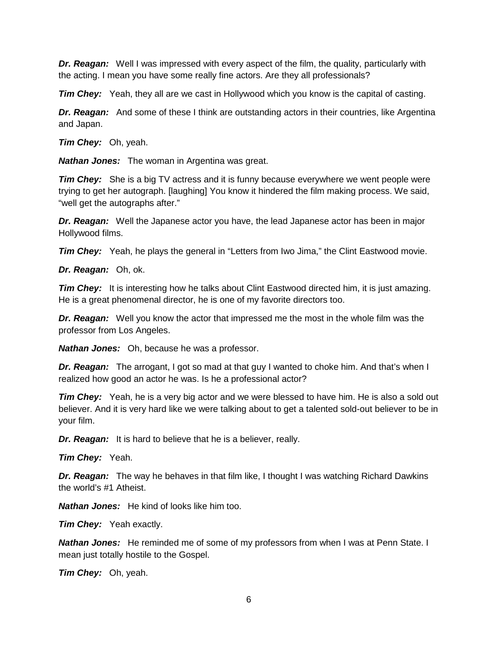*Dr. Reagan:* Well I was impressed with every aspect of the film, the quality, particularly with the acting. I mean you have some really fine actors. Are they all professionals?

*Tim Chey:* Yeah, they all are we cast in Hollywood which you know is the capital of casting.

*Dr. Reagan:* And some of these I think are outstanding actors in their countries, like Argentina and Japan.

*Tim Chey:* Oh, yeah.

*Nathan Jones:* The woman in Argentina was great.

*Tim Chey:* She is a big TV actress and it is funny because everywhere we went people were trying to get her autograph. [laughing] You know it hindered the film making process. We said, "well get the autographs after."

*Dr. Reagan:* Well the Japanese actor you have, the lead Japanese actor has been in major Hollywood films.

*Tim Chey:* Yeah, he plays the general in "Letters from Iwo Jima," the Clint Eastwood movie.

*Dr. Reagan:* Oh, ok.

*Tim Chey:* It is interesting how he talks about Clint Eastwood directed him, it is just amazing. He is a great phenomenal director, he is one of my favorite directors too.

*Dr. Reagan:* Well you know the actor that impressed me the most in the whole film was the professor from Los Angeles.

*Nathan Jones:* Oh, because he was a professor.

**Dr. Reagan:** The arrogant, I got so mad at that guy I wanted to choke him. And that's when I realized how good an actor he was. Is he a professional actor?

*Tim Chey:* Yeah, he is a very big actor and we were blessed to have him. He is also a sold out believer. And it is very hard like we were talking about to get a talented sold-out believer to be in your film.

*Dr. Reagan:* It is hard to believe that he is a believer, really.

*Tim Chey:* Yeah.

*Dr. Reagan:* The way he behaves in that film like, I thought I was watching Richard Dawkins the world's #1 Atheist.

*Nathan Jones:* He kind of looks like him too.

*Tim Chey:* Yeah exactly.

*Nathan Jones:* He reminded me of some of my professors from when I was at Penn State. I mean just totally hostile to the Gospel.

*Tim Chey:* Oh, yeah.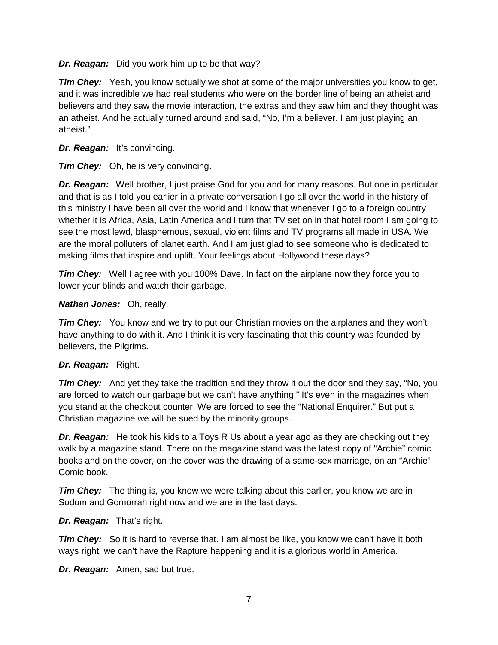*Dr. Reagan:* Did you work him up to be that way?

*Tim Chey:* Yeah, you know actually we shot at some of the major universities you know to get, and it was incredible we had real students who were on the border line of being an atheist and believers and they saw the movie interaction, the extras and they saw him and they thought was an atheist. And he actually turned around and said, "No, I'm a believer. I am just playing an atheist."

# *Dr. Reagan:* It's convincing.

*Tim Chey:* Oh, he is very convincing.

*Dr. Reagan:* Well brother, I just praise God for you and for many reasons. But one in particular and that is as I told you earlier in a private conversation I go all over the world in the history of this ministry I have been all over the world and I know that whenever I go to a foreign country whether it is Africa, Asia, Latin America and I turn that TV set on in that hotel room I am going to see the most lewd, blasphemous, sexual, violent films and TV programs all made in USA. We are the moral polluters of planet earth. And I am just glad to see someone who is dedicated to making films that inspire and uplift. Your feelings about Hollywood these days?

*Tim Chey:* Well I agree with you 100% Dave. In fact on the airplane now they force you to lower your blinds and watch their garbage.

# *Nathan Jones:* Oh, really.

*Tim Chey:* You know and we try to put our Christian movies on the airplanes and they won't have anything to do with it. And I think it is very fascinating that this country was founded by believers, the Pilgrims.

# *Dr. Reagan:* Right.

*Tim Chey:* And yet they take the tradition and they throw it out the door and they say, "No, you are forced to watch our garbage but we can't have anything." It's even in the magazines when you stand at the checkout counter. We are forced to see the "National Enquirer." But put a Christian magazine we will be sued by the minority groups.

*Dr. Reagan:* He took his kids to a Toys R Us about a year ago as they are checking out they walk by a magazine stand. There on the magazine stand was the latest copy of "Archie" comic books and on the cover, on the cover was the drawing of a same-sex marriage, on an "Archie" Comic book.

*Tim Chey:* The thing is, you know we were talking about this earlier, you know we are in Sodom and Gomorrah right now and we are in the last days.

# *Dr. Reagan:* That's right.

*Tim Chey:* So it is hard to reverse that. I am almost be like, you know we can't have it both ways right, we can't have the Rapture happening and it is a glorious world in America.

*Dr. Reagan:* Amen, sad but true.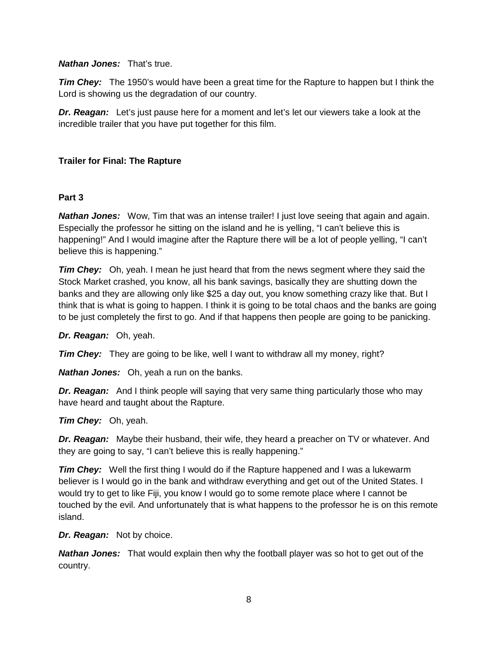#### *Nathan Jones:* That's true.

*Tim Chey:* The 1950's would have been a great time for the Rapture to happen but I think the Lord is showing us the degradation of our country.

*Dr. Reagan:* Let's just pause here for a moment and let's let our viewers take a look at the incredible trailer that you have put together for this film.

### **Trailer for Final: The Rapture**

#### **Part 3**

**Nathan Jones:** Wow, Tim that was an intense trailer! I just love seeing that again and again. Especially the professor he sitting on the island and he is yelling, "I can't believe this is happening!" And I would imagine after the Rapture there will be a lot of people yelling, "I can't believe this is happening."

*Tim Chey:* Oh, yeah. I mean he just heard that from the news segment where they said the Stock Market crashed, you know, all his bank savings, basically they are shutting down the banks and they are allowing only like \$25 a day out, you know something crazy like that. But I think that is what is going to happen. I think it is going to be total chaos and the banks are going to be just completely the first to go. And if that happens then people are going to be panicking.

*Dr. Reagan:* Oh, yeah.

*Tim Chey:* They are going to be like, well I want to withdraw all my money, right?

*Nathan Jones:* Oh, yeah a run on the banks.

*Dr. Reagan:* And I think people will saying that very same thing particularly those who may have heard and taught about the Rapture.

#### *Tim Chey:* Oh, yeah.

*Dr. Reagan:* Maybe their husband, their wife, they heard a preacher on TV or whatever. And they are going to say, "I can't believe this is really happening."

*Tim Chey:* Well the first thing I would do if the Rapture happened and I was a lukewarm believer is I would go in the bank and withdraw everything and get out of the United States. I would try to get to like Fiji, you know I would go to some remote place where I cannot be touched by the evil. And unfortunately that is what happens to the professor he is on this remote island.

*Dr. Reagan:* Not by choice.

*Nathan Jones:* That would explain then why the football player was so hot to get out of the country.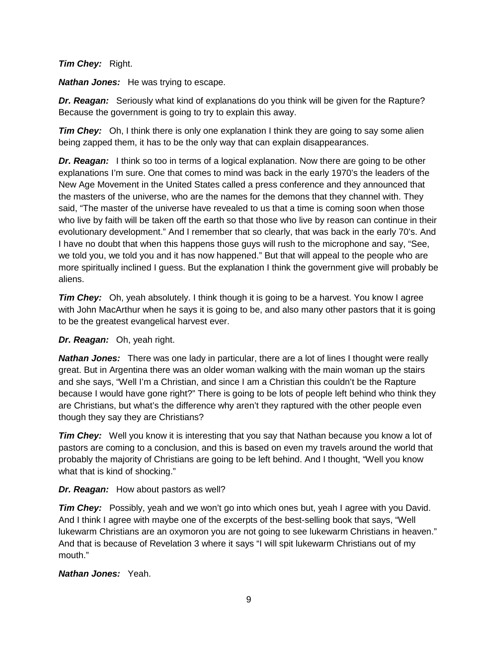#### *Tim Chey:* Right.

*Nathan Jones:* He was trying to escape.

*Dr. Reagan:* Seriously what kind of explanations do you think will be given for the Rapture? Because the government is going to try to explain this away.

*Tim Chey:* Oh, I think there is only one explanation I think they are going to say some alien being zapped them, it has to be the only way that can explain disappearances.

**Dr. Reagan:** I think so too in terms of a logical explanation. Now there are going to be other explanations I'm sure. One that comes to mind was back in the early 1970's the leaders of the New Age Movement in the United States called a press conference and they announced that the masters of the universe, who are the names for the demons that they channel with. They said, "The master of the universe have revealed to us that a time is coming soon when those who live by faith will be taken off the earth so that those who live by reason can continue in their evolutionary development." And I remember that so clearly, that was back in the early 70's. And I have no doubt that when this happens those guys will rush to the microphone and say, "See, we told you, we told you and it has now happened." But that will appeal to the people who are more spiritually inclined I guess. But the explanation I think the government give will probably be aliens.

*Tim Chey:* Oh, yeah absolutely. I think though it is going to be a harvest. You know I agree with John MacArthur when he says it is going to be, and also many other pastors that it is going to be the greatest evangelical harvest ever.

# *Dr. Reagan:* Oh, yeah right.

*Nathan Jones:* There was one lady in particular, there are a lot of lines I thought were really great. But in Argentina there was an older woman walking with the main woman up the stairs and she says, "Well I'm a Christian, and since I am a Christian this couldn't be the Rapture because I would have gone right?" There is going to be lots of people left behind who think they are Christians, but what's the difference why aren't they raptured with the other people even though they say they are Christians?

*Tim Chey:* Well you know it is interesting that you say that Nathan because you know a lot of pastors are coming to a conclusion, and this is based on even my travels around the world that probably the majority of Christians are going to be left behind. And I thought, "Well you know what that is kind of shocking."

# *Dr. Reagan:* How about pastors as well?

*Tim Chey:* Possibly, yeah and we won't go into which ones but, yeah I agree with you David. And I think I agree with maybe one of the excerpts of the best-selling book that says, "Well lukewarm Christians are an oxymoron you are not going to see lukewarm Christians in heaven." And that is because of Revelation 3 where it says "I will spit lukewarm Christians out of my mouth."

#### *Nathan Jones:* Yeah.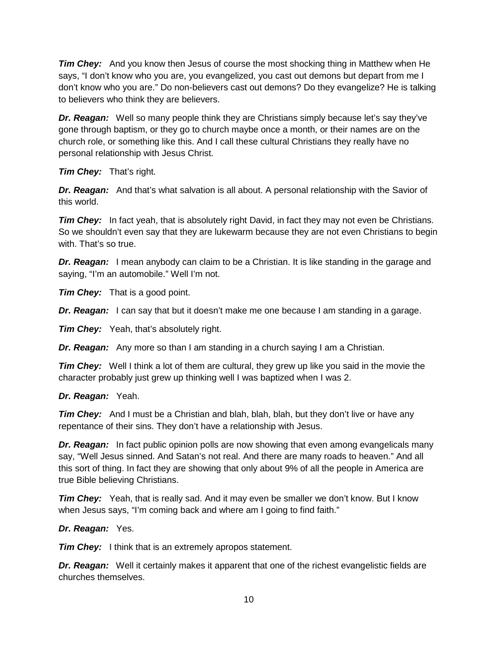*Tim Chey:* And you know then Jesus of course the most shocking thing in Matthew when He says, "I don't know who you are, you evangelized, you cast out demons but depart from me I don't know who you are." Do non-believers cast out demons? Do they evangelize? He is talking to believers who think they are believers.

*Dr. Reagan:* Well so many people think they are Christians simply because let's say they've gone through baptism, or they go to church maybe once a month, or their names are on the church role, or something like this. And I call these cultural Christians they really have no personal relationship with Jesus Christ.

*Tim Chey:* That's right.

*Dr. Reagan:* And that's what salvation is all about. A personal relationship with the Savior of this world.

*Tim Chey:* In fact yeah, that is absolutely right David, in fact they may not even be Christians. So we shouldn't even say that they are lukewarm because they are not even Christians to begin with. That's so true.

*Dr. Reagan:* I mean anybody can claim to be a Christian. It is like standing in the garage and saying, "I'm an automobile." Well I'm not.

*Tim Chey:* That is a good point.

*Dr. Reagan:* I can say that but it doesn't make me one because I am standing in a garage.

*Tim Chey:* Yeah, that's absolutely right.

*Dr. Reagan:* Any more so than I am standing in a church saying I am a Christian.

*Tim Chey:* Well I think a lot of them are cultural, they grew up like you said in the movie the character probably just grew up thinking well I was baptized when I was 2.

# *Dr. Reagan:* Yeah.

*Tim Chey:* And I must be a Christian and blah, blah, blah, but they don't live or have any repentance of their sins. They don't have a relationship with Jesus.

*Dr. Reagan:* In fact public opinion polls are now showing that even among evangelicals many say, "Well Jesus sinned. And Satan's not real. And there are many roads to heaven." And all this sort of thing. In fact they are showing that only about 9% of all the people in America are true Bible believing Christians.

*Tim Chey:* Yeah, that is really sad. And it may even be smaller we don't know. But I know when Jesus says, "I'm coming back and where am I going to find faith."

# *Dr. Reagan:* Yes.

*Tim Chey:* I think that is an extremely apropos statement.

*Dr. Reagan:* Well it certainly makes it apparent that one of the richest evangelistic fields are churches themselves.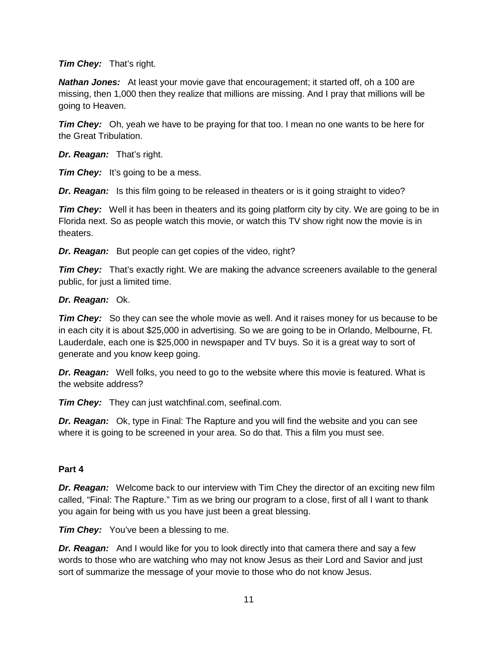### *Tim Chey:* That's right.

*Nathan Jones:* At least your movie gave that encouragement; it started off, oh a 100 are missing, then 1,000 then they realize that millions are missing. And I pray that millions will be going to Heaven.

*Tim Chey:* Oh, yeah we have to be praying for that too. I mean no one wants to be here for the Great Tribulation.

*Dr. Reagan:* That's right.

*Tim Chey:* It's going to be a mess.

**Dr. Reagan:** Is this film going to be released in theaters or is it going straight to video?

*Tim Chey:* Well it has been in theaters and its going platform city by city. We are going to be in Florida next. So as people watch this movie, or watch this TV show right now the movie is in theaters.

*Dr. Reagan:* But people can get copies of the video, right?

*Tim Chey:* That's exactly right. We are making the advance screeners available to the general public, for just a limited time.

### *Dr. Reagan:* Ok.

*Tim Chey:* So they can see the whole movie as well. And it raises money for us because to be in each city it is about \$25,000 in advertising. So we are going to be in Orlando, Melbourne, Ft. Lauderdale, each one is \$25,000 in newspaper and TV buys. So it is a great way to sort of generate and you know keep going.

*Dr. Reagan:* Well folks, you need to go to the website where this movie is featured. What is the website address?

*Tim Chey:* They can just watchfinal.com, seefinal.com.

*Dr. Reagan:* Ok, type in Final: The Rapture and you will find the website and you can see where it is going to be screened in your area. So do that. This a film you must see.

#### **Part 4**

*Dr. Reagan:* Welcome back to our interview with Tim Chey the director of an exciting new film called, "Final: The Rapture." Tim as we bring our program to a close, first of all I want to thank you again for being with us you have just been a great blessing.

*Tim Chey:* You've been a blessing to me.

*Dr. Reagan:* And I would like for you to look directly into that camera there and say a few words to those who are watching who may not know Jesus as their Lord and Savior and just sort of summarize the message of your movie to those who do not know Jesus.